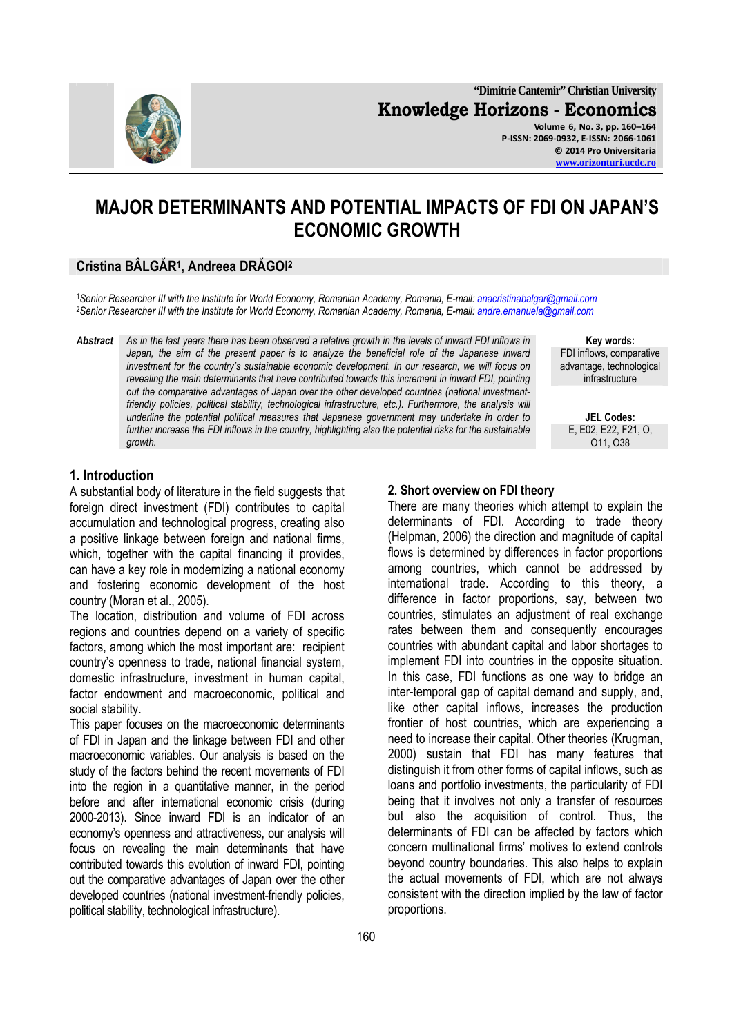

**"Dimitrie Cantemir" Christian University Knowledge Horizons - Economics Volume 6, No. 3, pp. 160–164 P-ISSN: 2069-0932, E-ISSN: 2066-1061 © 2014 Pro Universitaria** 

**www.orizonturi.ucdc.ro**

# **MAJOR DETERMINANTS AND POTENTIAL IMPACTS OF FDI ON JAPAN'S ECONOMIC GROWTH**

# **Cristina BÂLGĂR<sup>1</sup> , Andreea DRĂGOI<sup>2</sup>**

<sup>1</sup>*Senior Researcher III with the Institute for World Economy, Romanian Academy, Romania, E-mail: anacristinabalgar@gmail.com* <sup>2</sup>*Senior Researcher III with the Institute for World Economy, Romanian Academy, Romania, E-mail: andre.emanuela@gmail.com*

*Abstract As in the last years there has been observed a relative growth in the levels of inward FDI inflows in*  Japan, the aim of the present paper is to analyze the beneficial role of the Japanese inward *investment for the country's sustainable economic development. In our research, we will focus on revealing the main determinants that have contributed towards this increment in inward FDI, pointing out the comparative advantages of Japan over the other developed countries (national investment*friendly policies, political stability, technological infrastructure, etc.). Furthermore, the analysis will *underline the potential political measures that Japanese government may undertake in order to further increase the FDI inflows in the country, highlighting also the potential risks for the sustainable growth.*

**Key words:**  FDI inflows, comparative advantage, technological infrastructure

**JEL Codes:** E, E02, E22, F21, O, O11, O38

# **1. Introduction**

A substantial body of literature in the field suggests that foreign direct investment (FDI) contributes to capital accumulation and technological progress, creating also a positive linkage between foreign and national firms, which, together with the capital financing it provides, can have a key role in modernizing a national economy and fostering economic development of the host country (Moran et al., 2005).

The location, distribution and volume of FDI across regions and countries depend on a variety of specific factors, among which the most important are: recipient country's openness to trade, national financial system, domestic infrastructure, investment in human capital, factor endowment and macroeconomic, political and social stability.

This paper focuses on the macroeconomic determinants of FDI in Japan and the linkage between FDI and other macroeconomic variables. Our analysis is based on the study of the factors behind the recent movements of FDI into the region in a quantitative manner, in the period before and after international economic crisis (during 2000-2013). Since inward FDI is an indicator of an economy's openness and attractiveness, our analysis will focus on revealing the main determinants that have contributed towards this evolution of inward FDI, pointing out the comparative advantages of Japan over the other developed countries (national investment-friendly policies, political stability, technological infrastructure).

#### **2. Short overview on FDI theory**

There are many theories which attempt to explain the determinants of FDI. According to trade theory (Helpman, 2006) the direction and magnitude of capital flows is determined by differences in factor proportions among countries, which cannot be addressed by international trade. According to this theory, a difference in factor proportions, say, between two countries, stimulates an adjustment of real exchange rates between them and consequently encourages countries with abundant capital and labor shortages to implement FDI into countries in the opposite situation. In this case, FDI functions as one way to bridge an inter-temporal gap of capital demand and supply, and, like other capital inflows, increases the production frontier of host countries, which are experiencing a need to increase their capital. Other theories (Krugman, 2000) sustain that FDI has many features that distinguish it from other forms of capital inflows, such as loans and portfolio investments, the particularity of FDI being that it involves not only a transfer of resources but also the acquisition of control. Thus, the determinants of FDI can be affected by factors which concern multinational firms' motives to extend controls beyond country boundaries. This also helps to explain the actual movements of FDI, which are not always consistent with the direction implied by the law of factor proportions.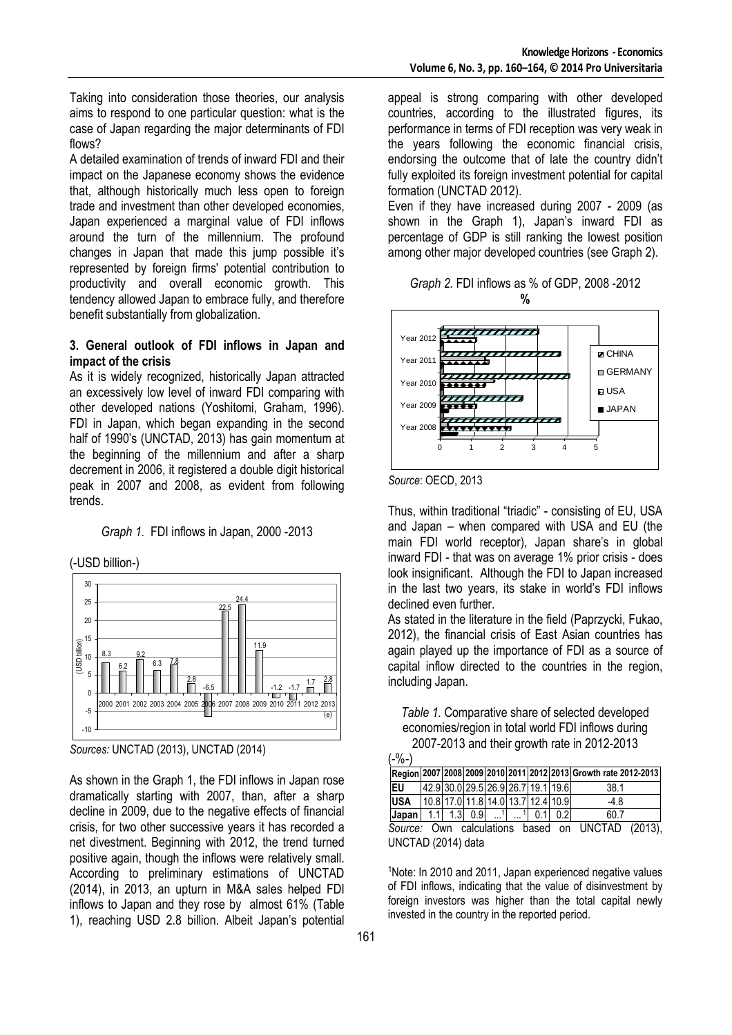Taking into consideration those theories, our analysis aims to respond to one particular question: what is the case of Japan regarding the major determinants of FDI flows?

A detailed examination of trends of inward FDI and their impact on the Japanese economy shows the evidence that, although historically much less open to foreign trade and investment than other developed economies, Japan experienced a marginal value of FDI inflows around the turn of the millennium. The profound changes in Japan that made this jump possible it's represented by foreign firms' potential contribution to productivity and overall economic growth. This tendency allowed Japan to embrace fully, and therefore benefit substantially from globalization.

#### **3. General outlook of FDI inflows in Japan and impact of the crisis**

As it is widely recognized, historically Japan attracted an excessively low level of inward FDI comparing with other developed nations (Yoshitomi, Graham, 1996). FDI in Japan, which began expanding in the second half of 1990's (UNCTAD, 2013) has gain momentum at the beginning of the millennium and after a sharp decrement in 2006, it registered a double digit historical peak in 2007 and 2008, as evident from following trends.

*Graph 1.* FDI inflows in Japan, 2000 -2013

(-USD billion-)



*Sources:* UNCTAD (2013), UNCTAD (2014)

As shown in the Graph 1, the FDI inflows in Japan rose dramatically starting with 2007, than, after a sharp decline in 2009, due to the negative effects of financial crisis, for two other successive years it has recorded a net divestment. Beginning with 2012, the trend turned positive again, though the inflows were relatively small. According to preliminary estimations of UNCTAD (2014), in 2013, an upturn in M&A sales helped FDI inflows to Japan and they rose by almost 61% (Table 1), reaching USD 2.8 billion. Albeit Japan's potential appeal is strong comparing with other developed countries, according to the illustrated figures, its performance in terms of FDI reception was very weak in the years following the economic financial crisis, endorsing the outcome that of late the country didn't fully exploited its foreign investment potential for capital formation (UNCTAD 2012).

Even if they have increased during 2007 - 2009 (as shown in the Graph 1), Japan's inward FDI as percentage of GDP is still ranking the lowest position among other major developed countries (see Graph 2).

| Graph 2. FDI inflows as % of GDP, 2008 -2012 |  |  |
|----------------------------------------------|--|--|
|                                              |  |  |



*Source*: OECD, 2013

UNCTAD (2014) data

Thus, within traditional "triadic" - consisting of EU, USA and Japan – when compared with USA and EU (the main FDI world receptor), Japan share's in global inward FDI - that was on average 1% prior crisis - does look insignificant. Although the FDI to Japan increased in the last two years, its stake in world's FDI inflows declined even further.

As stated in the literature in the field (Paprzycki, Fukao, 2012), the financial crisis of East Asian countries has again played up the importance of FDI as a source of capital inflow directed to the countries in the region, including Japan.

*Table 1.* Comparative share of selected developed economies/region in total world FDI inflows during 2007-2013 and their growth rate in 2012-2013

| $(-\% -)$                                           |     |  |                     |  |                                    |               |     |                                                                 |  |
|-----------------------------------------------------|-----|--|---------------------|--|------------------------------------|---------------|-----|-----------------------------------------------------------------|--|
|                                                     |     |  |                     |  |                                    |               |     | Region 2007 2008 2009 2010 2011 2012 2013 Growth rate 2012-2013 |  |
| <b>IEU</b>                                          |     |  |                     |  | 42.9 30.0 29.5 26.9 26.7 19.1 19.6 |               |     | 38.1                                                            |  |
| <b>USA</b>                                          |     |  |                     |  | 10.8 17.0 11.8 14.0 13.7 12.4 10.9 |               |     | $-4.8$                                                          |  |
| Japan                                               | 1.1 |  | $1.3 \mid 0.9 \mid$ |  |                                    | $1 \quad 0.1$ | 0.2 | 60.7                                                            |  |
| Own calculations based on UNCTAD (2013),<br>Source: |     |  |                     |  |                                    |               |     |                                                                 |  |

<sup>1</sup>Note: In 2010 and 2011, Japan experienced negative values of FDI inflows, indicating that the value of disinvestment by foreign investors was higher than the total capital newly invested in the country in the reported period.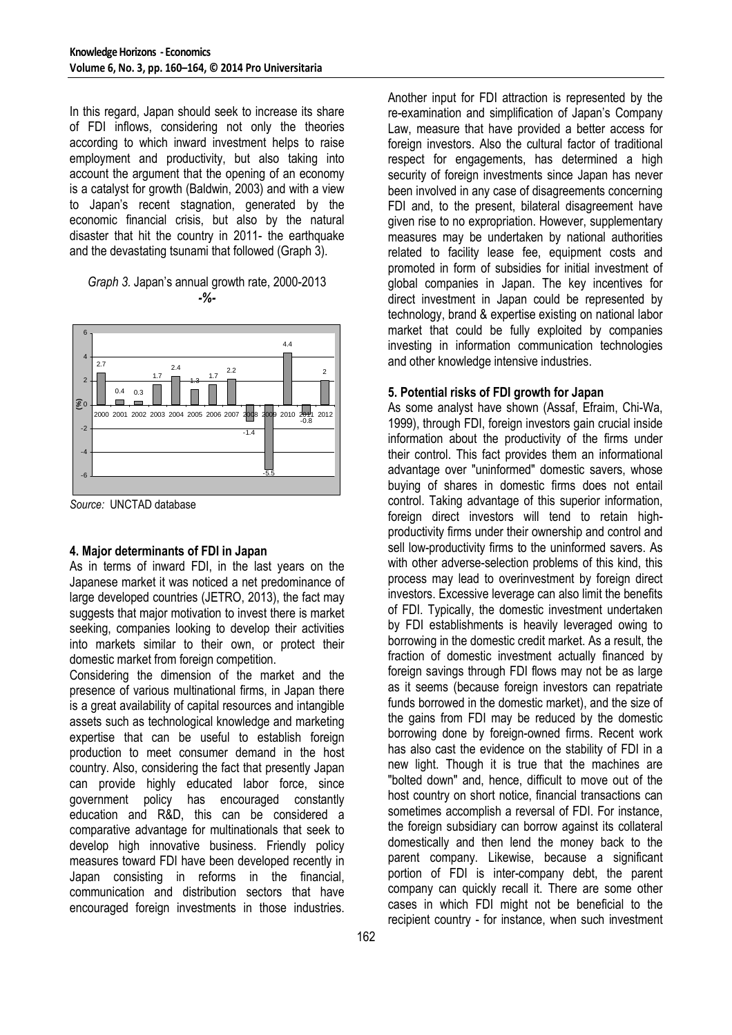In this regard, Japan should seek to increase its share of FDI inflows, considering not only the theories according to which inward investment helps to raise employment and productivity, but also taking into account the argument that the opening of an economy is a catalyst for growth (Baldwin, 2003) and with a view to Japan's recent stagnation, generated by the economic financial crisis, but also by the natural disaster that hit the country in 2011- the earthquake and the devastating tsunami that followed (Graph 3).

*Graph 3.* Japan's annual growth rate, 2000-2013 *-%-* 



*Source:* UNCTAD database

# **4. Major determinants of FDI in Japan**

As in terms of inward FDI, in the last years on the Japanese market it was noticed a net predominance of large developed countries (JETRO, 2013), the fact may suggests that major motivation to invest there is market seeking, companies looking to develop their activities into markets similar to their own, or protect their domestic market from foreign competition.

Considering the dimension of the market and the presence of various multinational firms, in Japan there is a great availability of capital resources and intangible assets such as technological knowledge and marketing expertise that can be useful to establish foreign production to meet consumer demand in the host country. Also, considering the fact that presently Japan can provide highly educated labor force, since government policy has encouraged constantly education and R&D, this can be considered a comparative advantage for multinationals that seek to develop high innovative business. Friendly policy measures toward FDI have been developed recently in Japan consisting in reforms in the financial, communication and distribution sectors that have encouraged foreign investments in those industries.

Another input for FDI attraction is represented by the re-examination and simplification of Japan's Company Law, measure that have provided a better access for foreign investors. Also the cultural factor of traditional respect for engagements, has determined a high security of foreign investments since Japan has never been involved in any case of disagreements concerning FDI and, to the present, bilateral disagreement have given rise to no expropriation. However, supplementary measures may be undertaken by national authorities related to facility lease fee, equipment costs and promoted in form of subsidies for initial investment of global companies in Japan. The key incentives for direct investment in Japan could be represented by technology, brand & expertise existing on national labor market that could be fully exploited by companies investing in information communication technologies and other knowledge intensive industries.

### **5. Potential risks of FDI growth for Japan**

As some analyst have shown (Assaf, Efraim, Chi-Wa, 1999), through FDI, foreign investors gain crucial inside information about the productivity of the firms under their control. This fact provides them an informational advantage over "uninformed" domestic savers, whose buying of shares in domestic firms does not entail control. Taking advantage of this superior information, foreign direct investors will tend to retain highproductivity firms under their ownership and control and sell low-productivity firms to the uninformed savers. As with other adverse-selection problems of this kind, this process may lead to overinvestment by foreign direct investors. Excessive leverage can also limit the benefits of FDI. Typically, the domestic investment undertaken by FDI establishments is heavily leveraged owing to borrowing in the domestic credit market. As a result, the fraction of domestic investment actually financed by foreign savings through FDI flows may not be as large as it seems (because foreign investors can repatriate funds borrowed in the domestic market), and the size of the gains from FDI may be reduced by the domestic borrowing done by foreign-owned firms. Recent work has also cast the evidence on the stability of FDI in a new light. Though it is true that the machines are "bolted down" and, hence, difficult to move out of the host country on short notice, financial transactions can sometimes accomplish a reversal of FDI. For instance, the foreign subsidiary can borrow against its collateral domestically and then lend the money back to the parent company. Likewise, because a significant portion of FDI is inter-company debt, the parent company can quickly recall it. There are some other cases in which FDI might not be beneficial to the recipient country - for instance, when such investment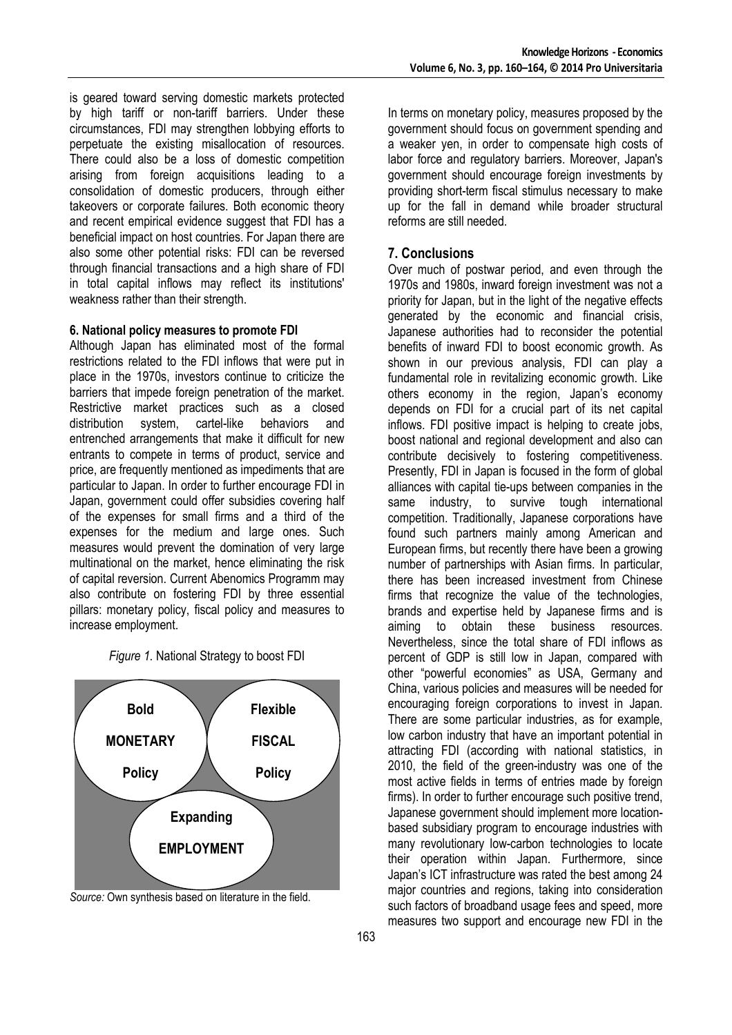is geared toward serving domestic markets protected by high tariff or non-tariff barriers. Under these circumstances, FDI may strengthen lobbying efforts to perpetuate the existing misallocation of resources. There could also be a loss of domestic competition arising from foreign acquisitions leading to a consolidation of domestic producers, through either takeovers or corporate failures. Both economic theory and recent empirical evidence suggest that FDI has a beneficial impact on host countries. For Japan there are also some other potential risks: FDI can be reversed through financial transactions and a high share of FDI in total capital inflows may reflect its institutions' weakness rather than their strength.

#### **6. National policy measures to promote FDI**

Although Japan has eliminated most of the formal restrictions related to the FDI inflows that were put in place in the 1970s, investors continue to criticize the barriers that impede foreign penetration of the market. Restrictive market practices such as a closed distribution system, cartel-like behaviors and entrenched arrangements that make it difficult for new entrants to compete in terms of product, service and price, are frequently mentioned as impediments that are particular to Japan. In order to further encourage FDI in Japan, government could offer subsidies covering half of the expenses for small firms and a third of the expenses for the medium and large ones. Such measures would prevent the domination of very large multinational on the market, hence eliminating the risk of capital reversion. Current Abenomics Programm may also contribute on fostering FDI by three essential pillars: monetary policy, fiscal policy and measures to increase employment.





*Source:* Own synthesis based on literature in the field.

In terms on monetary policy, measures proposed by the government should focus on government spending and a weaker yen, in order to compensate high costs of labor force and regulatory barriers. Moreover, Japan's government should encourage foreign investments by providing short-term fiscal stimulus necessary to make up for the fall in demand while broader structural reforms are still needed.

#### **7. Conclusions**

Over much of postwar period, and even through the 1970s and 1980s, inward foreign investment was not a priority for Japan, but in the light of the negative effects generated by the economic and financial crisis, Japanese authorities had to reconsider the potential benefits of inward FDI to boost economic growth. As shown in our previous analysis, FDI can play a fundamental role in revitalizing economic growth. Like others economy in the region, Japan's economy depends on FDI for a crucial part of its net capital inflows. FDI positive impact is helping to create jobs, boost national and regional development and also can contribute decisively to fostering competitiveness. Presently, FDI in Japan is focused in the form of global alliances with capital tie-ups between companies in the same industry, to survive tough international competition. Traditionally, Japanese corporations have found such partners mainly among American and European firms, but recently there have been a growing number of partnerships with Asian firms. In particular, there has been increased investment from Chinese firms that recognize the value of the technologies, brands and expertise held by Japanese firms and is aiming to obtain these business resources. Nevertheless, since the total share of FDI inflows as percent of GDP is still low in Japan, compared with other "powerful economies" as USA, Germany and China, various policies and measures will be needed for encouraging foreign corporations to invest in Japan. There are some particular industries, as for example, low carbon industry that have an important potential in attracting FDI (according with national statistics, in 2010, the field of the green-industry was one of the most active fields in terms of entries made by foreign firms). In order to further encourage such positive trend, Japanese government should implement more locationbased subsidiary program to encourage industries with many revolutionary low-carbon technologies to locate their operation within Japan. Furthermore, since Japan's ICT infrastructure was rated the best among 24 major countries and regions, taking into consideration such factors of broadband usage fees and speed, more measures two support and encourage new FDI in the